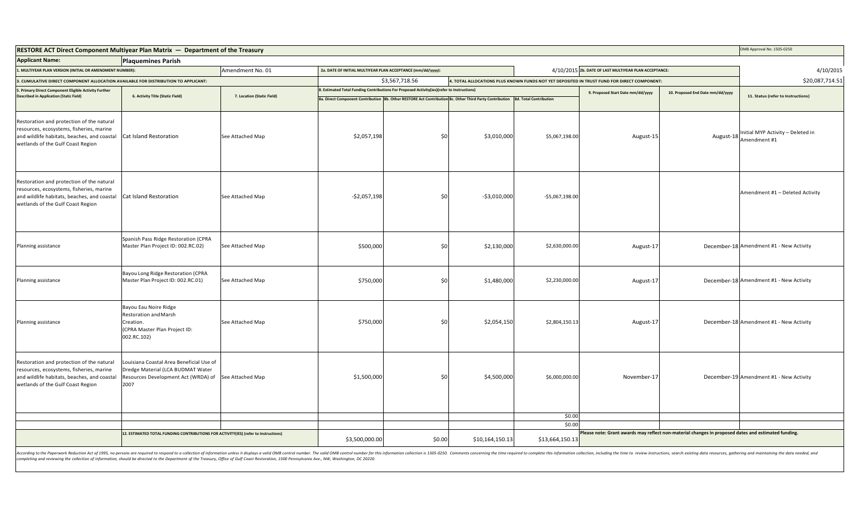| RESTORE ACT Direct Component Multiyear Plan Matrix - Department of the Treasury                                                                                           |                                                                                                                                               |                            |                                                                                            |                                                                                                                                |                                                                                             |                                                       | OMB Approval No. 1505-0250                                                                          |                 |                                                   |
|---------------------------------------------------------------------------------------------------------------------------------------------------------------------------|-----------------------------------------------------------------------------------------------------------------------------------------------|----------------------------|--------------------------------------------------------------------------------------------|--------------------------------------------------------------------------------------------------------------------------------|---------------------------------------------------------------------------------------------|-------------------------------------------------------|-----------------------------------------------------------------------------------------------------|-----------------|---------------------------------------------------|
| <b>Applicant Name:</b>                                                                                                                                                    | <b>Plaquemines Parish</b>                                                                                                                     |                            |                                                                                            |                                                                                                                                |                                                                                             |                                                       |                                                                                                     |                 |                                                   |
| I. MULTIYEAR PLAN VERSION (INITIAL OR AMENDMENT NUMBER):                                                                                                                  |                                                                                                                                               | Amendment No. 01           | 2a. DATE OF INITIAL MULTIYEAR PLAN ACCEPTANCE (mm/dd/yyyy):                                |                                                                                                                                |                                                                                             | 4/10/2015 2b. DATE OF LAST MULTIYEAR PLAN ACCEPTANCE: |                                                                                                     |                 | 4/10/2015                                         |
| 3. CUMULATIVE DIRECT COMPONENT ALLOCATION AVAILABLE FOR DISTRIBUTION TO APPLICANT:                                                                                        |                                                                                                                                               |                            | \$3,567,718.56                                                                             |                                                                                                                                | 1. TOTAL ALLOCATIONS PLUS KNOWN FUNDS NOT YET DEPOSITED IN TRUST FUND FOR DIRECT COMPONENT: |                                                       |                                                                                                     | \$20,087,714.51 |                                                   |
| 5. Primary Direct Component Eligible Activity Further                                                                                                                     | 6. Activity Title (Static Field)                                                                                                              | 7. Location (Static Field) | 8. Estimated Total Funding Contributions For Proposed Activity(ies)(refer to Instructions) |                                                                                                                                |                                                                                             |                                                       | 9. Proposed Start Date mm/dd/yyyy<br>10. Proposed End Date mm/dd/yyyy                               |                 |                                                   |
| <b>Described in Application (Static Field)</b>                                                                                                                            |                                                                                                                                               |                            |                                                                                            | 8a. Direct Component Contribution 8b. Other RESTORE Act Contribution 8c. Other Third Party Contribution 8d. Total Contribution |                                                                                             |                                                       |                                                                                                     |                 | 11. Status (refer to Instructions)                |
| Restoration and protection of the natural<br>resources, ecosystems, fisheries, marine<br>and wildlife habitats, beaches, and coastal<br>wetlands of the Gulf Coast Region | Cat Island Restoration                                                                                                                        | See Attached Map           | \$2,057,198                                                                                | \$0                                                                                                                            | \$3,010,000                                                                                 | \$5,067,198.00                                        | August-15                                                                                           | August-18       | Initial MYP Activity - Deleted in<br>Amendment #1 |
| Restoration and protection of the natural<br>resources, ecosystems, fisheries, marine<br>and wildlife habitats, beaches, and coastal<br>wetlands of the Gulf Coast Region | Cat Island Restoration                                                                                                                        | See Attached Map           | $-$2,057,198$                                                                              | \$0                                                                                                                            | $-$3,010,000$                                                                               | $-$5,067,198.00$                                      |                                                                                                     |                 | Amendment #1 - Deleted Activity                   |
| Planning assistance                                                                                                                                                       | Spanish Pass Ridge Restoration (CPRA<br>Master Plan Project ID: 002.RC.02)                                                                    | See Attached Map           | \$500,000                                                                                  | \$0                                                                                                                            | \$2,130,000                                                                                 | \$2,630,000.00                                        | August-17                                                                                           |                 | December-18 Amendment #1 - New Activity           |
| Planning assistance                                                                                                                                                       | Bayou Long Ridge Restoration (CPRA<br>Master Plan Project ID: 002.RC.01)                                                                      | See Attached Map           | \$750,000                                                                                  | \$0                                                                                                                            | \$1,480,000                                                                                 | \$2,230,000.00                                        | August-17                                                                                           |                 | December-18 Amendment #1 - New Activity           |
| Planning assistance                                                                                                                                                       | Bayou Eau Noire Ridge<br>Restoration and Marsh<br>Creation.<br>(CPRA Master Plan Project ID:<br>002.RC.102)                                   | See Attached Map           | \$750,000                                                                                  | \$0                                                                                                                            | \$2,054,150                                                                                 | \$2,804,150.13                                        | August-17                                                                                           |                 | December-18 Amendment #1 - New Activity           |
| Restoration and protection of the natural<br>resources, ecosystems, fisheries, marine<br>and wildlife habitats, beaches, and coastal<br>wetlands of the Gulf Coast Region | Louisiana Coastal Area Beneficial Use of<br>Dredge Material (LCA BUDMAT Water<br>Resources Development Act (WRDA) of See Attached Map<br>2007 |                            | \$1,500,000                                                                                | \$0                                                                                                                            | \$4,500,000                                                                                 | \$6,000,000.00                                        | November-17                                                                                         |                 | December-19 Amendment #1 - New Activity           |
|                                                                                                                                                                           |                                                                                                                                               |                            |                                                                                            |                                                                                                                                |                                                                                             | \$0.00                                                |                                                                                                     |                 |                                                   |
|                                                                                                                                                                           |                                                                                                                                               |                            |                                                                                            |                                                                                                                                |                                                                                             | \$0.00                                                |                                                                                                     |                 |                                                   |
| 12. ESTIMATED TOTAL FUNDING CONTRIBUTIONS FOR ACTIVITY(IES) (refer to Instructions)                                                                                       |                                                                                                                                               | \$3,500,000.00             | \$0.00                                                                                     | \$10,164,150.13                                                                                                                | \$13,664,150.13                                                                             |                                                       | Please note: Grant awards may reflect non-material changes in proposed dates and estimated funding. |                 |                                                   |

According to the Paperwork Reduction Act of 1995, no persons are required to respond to a collection of information unless it displays a valid OMB control number. The valid OMB control number for this information is 1505-0 completing and reviewing the collection of information, should be directed to the Department of the Treasury, Office of Gulf Coast Restoration, 1500 Pennsylvania Ave., NW, Washington, DC 20220.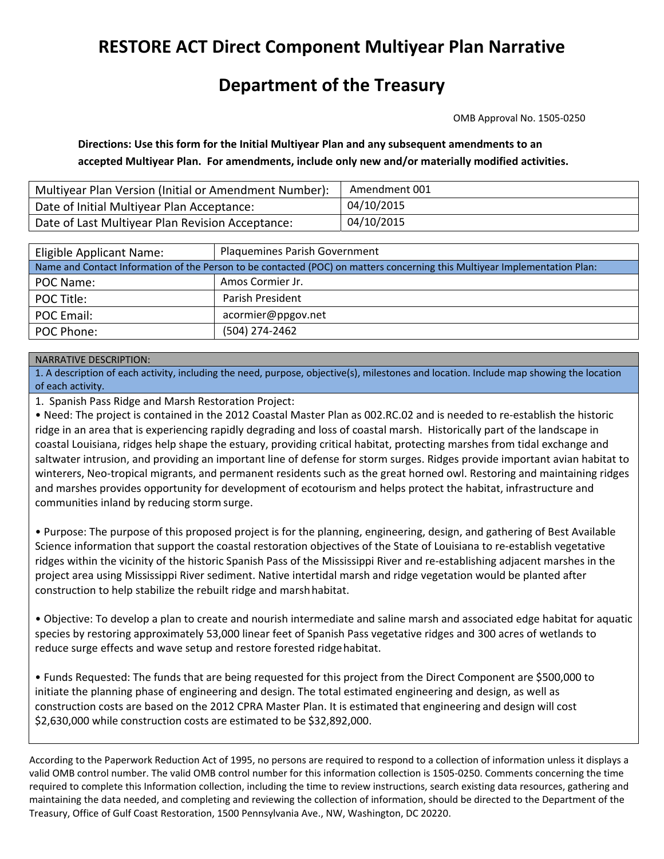# **RESTORE ACT Direct Component Multiyear Plan Narrative**

## **Department of the Treasury**

OMB Approval No. 1505‐0250

**Directions: Use this form for the Initial Multiyear Plan and any subsequent amendments to an accepted Multiyear Plan. For amendments, include only new and/or materially modified activities.**

| Multiyear Plan Version (Initial or Amendment Number): | Amendment 001 |
|-------------------------------------------------------|---------------|
| Date of Initial Multiyear Plan Acceptance:            | 04/10/2015    |
| Date of Last Multiyear Plan Revision Acceptance:      | 04/10/2015    |

| Eligible Applicant Name:                                                                                                   | <b>Plaquemines Parish Government</b> |  |  |  |  |
|----------------------------------------------------------------------------------------------------------------------------|--------------------------------------|--|--|--|--|
| Name and Contact Information of the Person to be contacted (POC) on matters concerning this Multiyear Implementation Plan: |                                      |  |  |  |  |
| POC Name:                                                                                                                  | Amos Cormier Jr.                     |  |  |  |  |
| POC Title:                                                                                                                 | Parish President                     |  |  |  |  |
| <b>POC Email:</b>                                                                                                          | acormier@ppgov.net                   |  |  |  |  |
| POC Phone:                                                                                                                 | (504) 274-2462                       |  |  |  |  |

### NARRATIVE DESCRIPTION:

1. A description of each activity, including the need, purpose, objective(s), milestones and location. Include map showing the location of each activity.

1. Spanish Pass Ridge and Marsh Restoration Project:

• Need: The project is contained in the 2012 Coastal Master Plan as 002.RC.02 and is needed to re‐establish the historic ridge in an area that is experiencing rapidly degrading and loss of coastal marsh. Historically part of the landscape in coastal Louisiana, ridges help shape the estuary, providing critical habitat, protecting marshes from tidal exchange and saltwater intrusion, and providing an important line of defense for storm surges. Ridges provide important avian habitat to winterers, Neo-tropical migrants, and permanent residents such as the great horned owl. Restoring and maintaining ridges and marshes provides opportunity for development of ecotourism and helps protect the habitat, infrastructure and communities inland by reducing storm surge.

• Purpose: The purpose of this proposed project is for the planning, engineering, design, and gathering of Best Available Science information that support the coastal restoration objectives of the State of Louisiana to re‐establish vegetative ridges within the vicinity of the historic Spanish Pass of the Mississippi River and re‐establishing adjacent marshes in the project area using Mississippi River sediment. Native intertidal marsh and ridge vegetation would be planted after construction to help stabilize the rebuilt ridge and marshhabitat.

• Objective: To develop a plan to create and nourish intermediate and saline marsh and associated edge habitat for aquatic species by restoring approximately 53,000 linear feet of Spanish Pass vegetative ridges and 300 acres of wetlands to reduce surge effects and wave setup and restore forested ridgehabitat.

• Funds Requested: The funds that are being requested for this project from the Direct Component are \$500,000 to initiate the planning phase of engineering and design. The total estimated engineering and design, as well as construction costs are based on the 2012 CPRA Master Plan. It is estimated that engineering and design will cost \$2,630,000 while construction costs are estimated to be \$32,892,000.

According to the Paperwork Reduction Act of 1995, no persons are required to respond to a collection of information unless it displays a valid OMB control number. The valid OMB control number for this information collection is 1505‐0250. Comments concerning the time required to complete this Information collection, including the time to review instructions, search existing data resources, gathering and maintaining the data needed, and completing and reviewing the collection of information, should be directed to the Department of the Treasury, Office of Gulf Coast Restoration, 1500 Pennsylvania Ave., NW, Washington, DC 20220.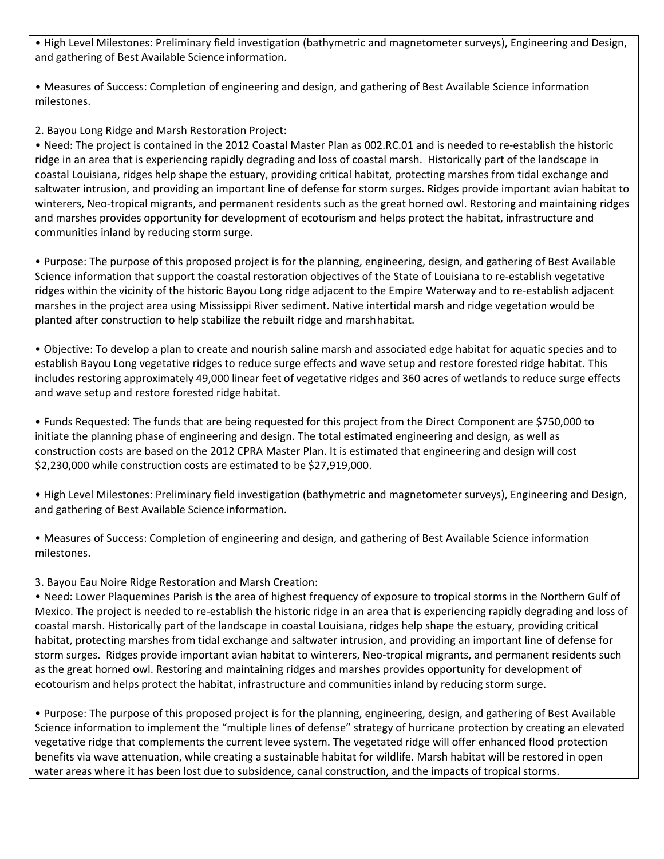• High Level Milestones: Preliminary field investigation (bathymetric and magnetometer surveys), Engineering and Design, and gathering of Best Available Science information.

• Measures of Success: Completion of engineering and design, and gathering of Best Available Science information milestones.

2. Bayou Long Ridge and Marsh Restoration Project:

• Need: The project is contained in the 2012 Coastal Master Plan as 002.RC.01 and is needed to re‐establish the historic ridge in an area that is experiencing rapidly degrading and loss of coastal marsh. Historically part of the landscape in coastal Louisiana, ridges help shape the estuary, providing critical habitat, protecting marshes from tidal exchange and saltwater intrusion, and providing an important line of defense for storm surges. Ridges provide important avian habitat to winterers, Neo-tropical migrants, and permanent residents such as the great horned owl. Restoring and maintaining ridges and marshes provides opportunity for development of ecotourism and helps protect the habitat, infrastructure and communities inland by reducing storm surge.

• Purpose: The purpose of this proposed project is for the planning, engineering, design, and gathering of Best Available Science information that support the coastal restoration objectives of the State of Louisiana to re‐establish vegetative ridges within the vicinity of the historic Bayou Long ridge adjacent to the Empire Waterway and to re‐establish adjacent marshes in the project area using Mississippi River sediment. Native intertidal marsh and ridge vegetation would be planted after construction to help stabilize the rebuilt ridge and marshhabitat.

• Objective: To develop a plan to create and nourish saline marsh and associated edge habitat for aquatic species and to establish Bayou Long vegetative ridges to reduce surge effects and wave setup and restore forested ridge habitat. This includes restoring approximately 49,000 linear feet of vegetative ridges and 360 acres of wetlands to reduce surge effects and wave setup and restore forested ridge habitat.

• Funds Requested: The funds that are being requested for this project from the Direct Component are \$750,000 to initiate the planning phase of engineering and design. The total estimated engineering and design, as well as construction costs are based on the 2012 CPRA Master Plan. It is estimated that engineering and design will cost \$2,230,000 while construction costs are estimated to be \$27,919,000.

• High Level Milestones: Preliminary field investigation (bathymetric and magnetometer surveys), Engineering and Design, and gathering of Best Available Science information.

• Measures of Success: Completion of engineering and design, and gathering of Best Available Science information milestones.

3. Bayou Eau Noire Ridge Restoration and Marsh Creation:

• Need: Lower Plaquemines Parish is the area of highest frequency of exposure to tropical storms in the Northern Gulf of Mexico. The project is needed to re‐establish the historic ridge in an area that is experiencing rapidly degrading and loss of coastal marsh. Historically part of the landscape in coastal Louisiana, ridges help shape the estuary, providing critical habitat, protecting marshes from tidal exchange and saltwater intrusion, and providing an important line of defense for storm surges. Ridges provide important avian habitat to winterers, Neo-tropical migrants, and permanent residents such as the great horned owl. Restoring and maintaining ridges and marshes provides opportunity for development of ecotourism and helps protect the habitat, infrastructure and communities inland by reducing storm surge.

• Purpose: The purpose of this proposed project is for the planning, engineering, design, and gathering of Best Available Science information to implement the "multiple lines of defense" strategy of hurricane protection by creating an elevated vegetative ridge that complements the current levee system. The vegetated ridge will offer enhanced flood protection benefits via wave attenuation, while creating a sustainable habitat for wildlife. Marsh habitat will be restored in open water areas where it has been lost due to subsidence, canal construction, and the impacts of tropical storms.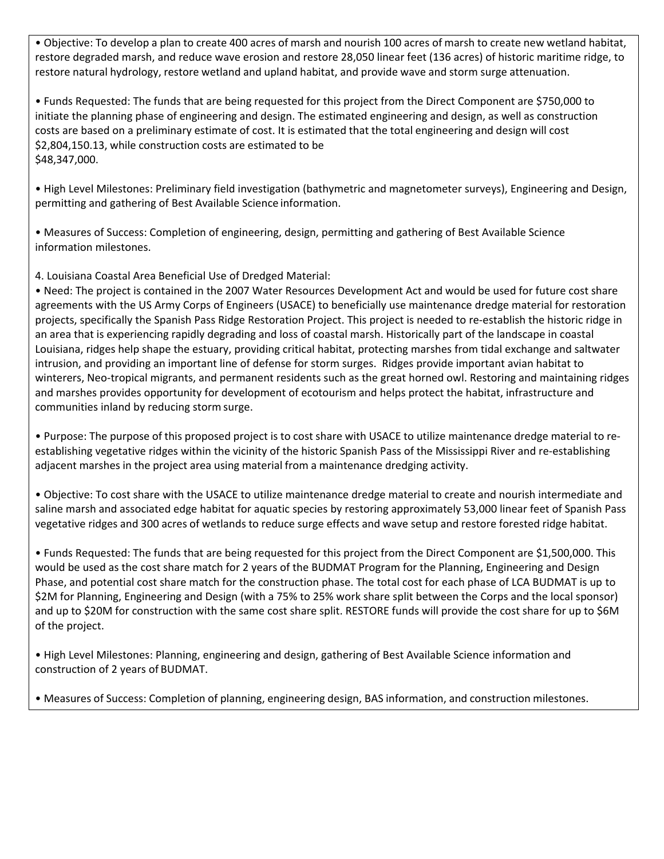• Objective: To develop a plan to create 400 acres of marsh and nourish 100 acres of marsh to create new wetland habitat, restore degraded marsh, and reduce wave erosion and restore 28,050 linear feet (136 acres) of historic maritime ridge, to restore natural hydrology, restore wetland and upland habitat, and provide wave and storm surge attenuation.

• Funds Requested: The funds that are being requested for this project from the Direct Component are \$750,000 to initiate the planning phase of engineering and design. The estimated engineering and design, as well as construction costs are based on a preliminary estimate of cost. It is estimated that the total engineering and design will cost \$2,804,150.13, while construction costs are estimated to be \$48,347,000.

• High Level Milestones: Preliminary field investigation (bathymetric and magnetometer surveys), Engineering and Design, permitting and gathering of Best Available Science information.

• Measures of Success: Completion of engineering, design, permitting and gathering of Best Available Science information milestones.

4. Louisiana Coastal Area Beneficial Use of Dredged Material:

• Need: The project is contained in the 2007 Water Resources Development Act and would be used for future cost share agreements with the US Army Corps of Engineers (USACE) to beneficially use maintenance dredge material for restoration projects, specifically the Spanish Pass Ridge Restoration Project. This project is needed to re‐establish the historic ridge in an area that is experiencing rapidly degrading and loss of coastal marsh. Historically part of the landscape in coastal Louisiana, ridges help shape the estuary, providing critical habitat, protecting marshes from tidal exchange and saltwater intrusion, and providing an important line of defense for storm surges. Ridges provide important avian habitat to winterers, Neo-tropical migrants, and permanent residents such as the great horned owl. Restoring and maintaining ridges and marshes provides opportunity for development of ecotourism and helps protect the habitat, infrastructure and communities inland by reducing storm surge.

• Purpose: The purpose of this proposed project is to cost share with USACE to utilize maintenance dredge material to re‐ establishing vegetative ridges within the vicinity of the historic Spanish Pass of the Mississippi River and re‐establishing adjacent marshes in the project area using material from a maintenance dredging activity.

• Objective: To cost share with the USACE to utilize maintenance dredge material to create and nourish intermediate and saline marsh and associated edge habitat for aquatic species by restoring approximately 53,000 linear feet of Spanish Pass vegetative ridges and 300 acres of wetlands to reduce surge effects and wave setup and restore forested ridge habitat.

• Funds Requested: The funds that are being requested for this project from the Direct Component are \$1,500,000. This would be used as the cost share match for 2 years of the BUDMAT Program for the Planning, Engineering and Design Phase, and potential cost share match for the construction phase. The total cost for each phase of LCA BUDMAT is up to \$2M for Planning, Engineering and Design (with a 75% to 25% work share split between the Corps and the local sponsor) and up to \$20M for construction with the same cost share split. RESTORE funds will provide the cost share for up to \$6M of the project.

• High Level Milestones: Planning, engineering and design, gathering of Best Available Science information and construction of 2 years of BUDMAT.

• Measures of Success: Completion of planning, engineering design, BAS information, and construction milestones.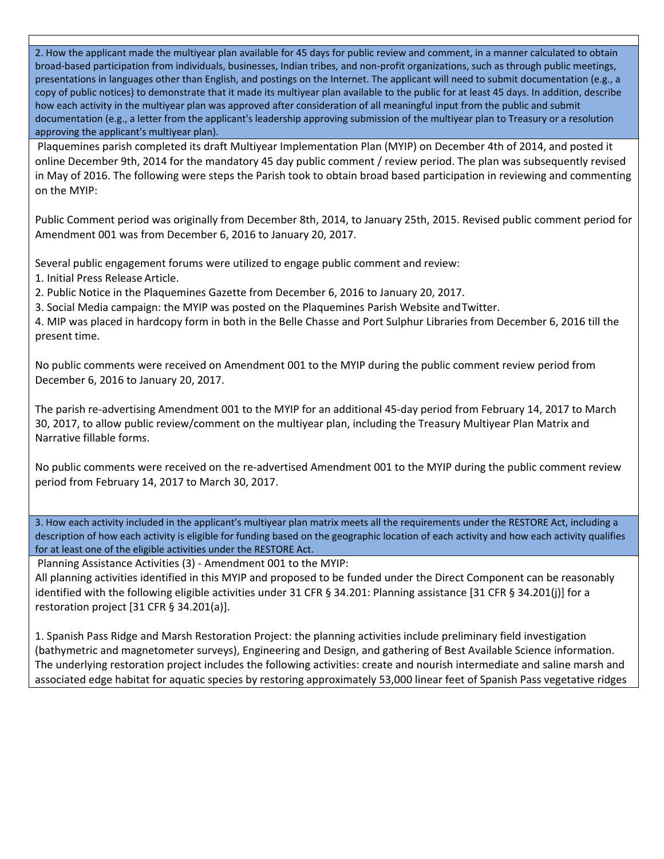2. How the applicant made the multiyear plan available for 45 days for public review and comment, in a manner calculated to obtain broad‐based participation from individuals, businesses, Indian tribes, and non‐profit organizations, such as through public meetings, presentations in languages other than English, and postings on the Internet. The applicant will need to submit documentation (e.g., a copy of public notices) to demonstrate that it made its multiyear plan available to the public for at least 45 days. In addition, describe how each activity in the multiyear plan was approved after consideration of all meaningful input from the public and submit documentation (e.g., a letter from the applicant's leadership approving submission of the multiyear plan to Treasury or a resolution approving the applicant's multiyear plan).

Plaquemines parish completed its draft Multiyear Implementation Plan (MYIP) on December 4th of 2014, and posted it online December 9th, 2014 for the mandatory 45 day public comment / review period. The plan was subsequently revised in May of 2016. The following were steps the Parish took to obtain broad based participation in reviewing and commenting on the MYIP:

Public Comment period was originally from December 8th, 2014, to January 25th, 2015. Revised public comment period for Amendment 001 was from December 6, 2016 to January 20, 2017.

Several public engagement forums were utilized to engage public comment and review:

1. Initial Press Release Article.

2. Public Notice in the Plaquemines Gazette from December 6, 2016 to January 20, 2017.

3. Social Media campaign: the MYIP was posted on the Plaquemines Parish Website andTwitter.

4. MIP was placed in hardcopy form in both in the Belle Chasse and Port Sulphur Libraries from December 6, 2016 till the present time.

No public comments were received on Amendment 001 to the MYIP during the public comment review period from December 6, 2016 to January 20, 2017.

The parish re‐advertising Amendment 001 to the MYIP for an additional 45‐day period from February 14, 2017 to March 30, 2017, to allow public review/comment on the multiyear plan, including the Treasury Multiyear Plan Matrix and Narrative fillable forms.

No public comments were received on the re‐advertised Amendment 001 to the MYIP during the public comment review period from February 14, 2017 to March 30, 2017.

3. How each activity included in the applicant's multiyear plan matrix meets all the requirements under the RESTORE Act, including a description of how each activity is eligible for funding based on the geographic location of each activity and how each activity qualifies for at least one of the eligible activities under the RESTORE Act.

Planning Assistance Activities (3) ‐ Amendment 001 to the MYIP:

All planning activities identified in this MYIP and proposed to be funded under the Direct Component can be reasonably identified with the following eligible activities under 31 CFR § 34.201: Planning assistance [31 CFR § 34.201(j)] for a restoration project [31 CFR § 34.201(a)].

1. Spanish Pass Ridge and Marsh Restoration Project: the planning activities include preliminary field investigation (bathymetric and magnetometer surveys), Engineering and Design, and gathering of Best Available Science information. The underlying restoration project includes the following activities: create and nourish intermediate and saline marsh and associated edge habitat for aquatic species by restoring approximately 53,000 linear feet of Spanish Pass vegetative ridges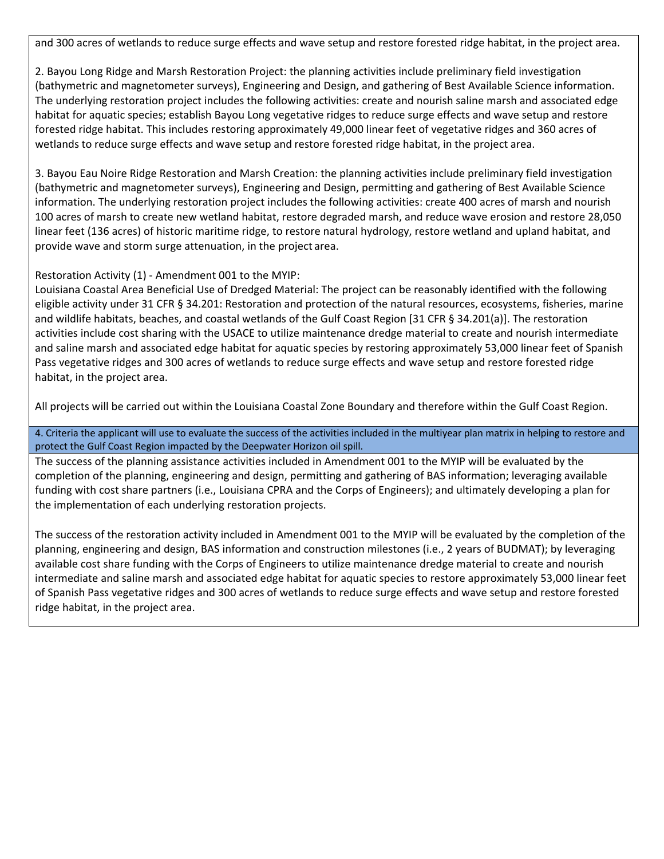and 300 acres of wetlands to reduce surge effects and wave setup and restore forested ridge habitat, in the project area.

2. Bayou Long Ridge and Marsh Restoration Project: the planning activities include preliminary field investigation (bathymetric and magnetometer surveys), Engineering and Design, and gathering of Best Available Science information. The underlying restoration project includes the following activities: create and nourish saline marsh and associated edge habitat for aquatic species; establish Bayou Long vegetative ridges to reduce surge effects and wave setup and restore forested ridge habitat. This includes restoring approximately 49,000 linear feet of vegetative ridges and 360 acres of wetlands to reduce surge effects and wave setup and restore forested ridge habitat, in the project area.

3. Bayou Eau Noire Ridge Restoration and Marsh Creation: the planning activities include preliminary field investigation (bathymetric and magnetometer surveys), Engineering and Design, permitting and gathering of Best Available Science information. The underlying restoration project includes the following activities: create 400 acres of marsh and nourish 100 acres of marsh to create new wetland habitat, restore degraded marsh, and reduce wave erosion and restore 28,050 linear feet (136 acres) of historic maritime ridge, to restore natural hydrology, restore wetland and upland habitat, and provide wave and storm surge attenuation, in the project area.

## Restoration Activity (1) ‐ Amendment 001 to the MYIP:

Louisiana Coastal Area Beneficial Use of Dredged Material: The project can be reasonably identified with the following eligible activity under 31 CFR § 34.201: Restoration and protection of the natural resources, ecosystems, fisheries, marine and wildlife habitats, beaches, and coastal wetlands of the Gulf Coast Region [31 CFR § 34.201(a)]. The restoration activities include cost sharing with the USACE to utilize maintenance dredge material to create and nourish intermediate and saline marsh and associated edge habitat for aquatic species by restoring approximately 53,000 linear feet of Spanish Pass vegetative ridges and 300 acres of wetlands to reduce surge effects and wave setup and restore forested ridge habitat, in the project area.

All projects will be carried out within the Louisiana Coastal Zone Boundary and therefore within the Gulf Coast Region.

4. Criteria the applicant will use to evaluate the success of the activities included in the multiyear plan matrix in helping to restore and protect the Gulf Coast Region impacted by the Deepwater Horizon oil spill.

The success of the planning assistance activities included in Amendment 001 to the MYIP will be evaluated by the completion of the planning, engineering and design, permitting and gathering of BAS information; leveraging available funding with cost share partners (i.e., Louisiana CPRA and the Corps of Engineers); and ultimately developing a plan for the implementation of each underlying restoration projects.

The success of the restoration activity included in Amendment 001 to the MYIP will be evaluated by the completion of the planning, engineering and design, BAS information and construction milestones (i.e., 2 years of BUDMAT); by leveraging available cost share funding with the Corps of Engineers to utilize maintenance dredge material to create and nourish intermediate and saline marsh and associated edge habitat for aquatic species to restore approximately 53,000 linear feet of Spanish Pass vegetative ridges and 300 acres of wetlands to reduce surge effects and wave setup and restore forested ridge habitat, in the project area.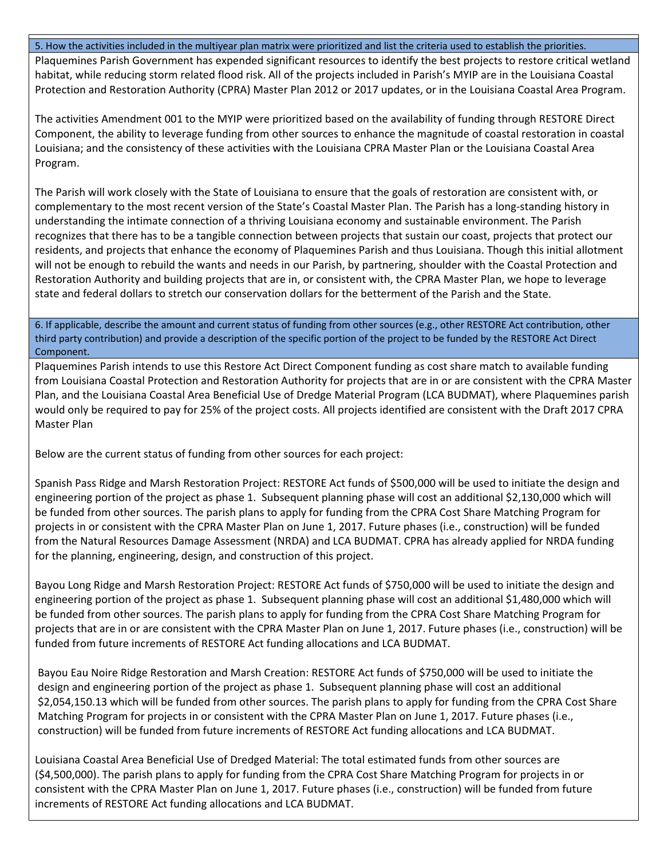#### 5. How the activities included in the multiyear plan matrix were prioritized and list the criteria used to establish the priorities.

Plaquemines Parish Government has expended significant resources to identify the best projects to restore critical wetland habitat, while reducing storm related flood risk. All of the projects included in Parish's MYIP are in the Louisiana Coastal Protection and Restoration Authority (CPRA) Master Plan 2012 or 2017 updates, or in the Louisiana Coastal Area Program.

The activities Amendment 001 to the MYIP were prioritized based on the availability of funding through RESTORE Direct Component, the ability to leverage funding from other sources to enhance the magnitude of coastal restoration in coastal Louisiana; and the consistency of these activities with the Louisiana CPRA Master Plan or the Louisiana Coastal Area Program.

The Parish will work closely with the State of Louisiana to ensure that the goals of restoration are consistent with, or complementary to the most recent version of the State's Coastal Master Plan. The Parish has a long‐standing history in understanding the intimate connection of a thriving Louisiana economy and sustainable environment. The Parish recognizes that there has to be a tangible connection between projects that sustain our coast, projects that protect our residents, and projects that enhance the economy of Plaquemines Parish and thus Louisiana. Though this initial allotment will not be enough to rebuild the wants and needs in our Parish, by partnering, shoulder with the Coastal Protection and Restoration Authority and building projects that are in, or consistent with, the CPRA Master Plan, we hope to leverage state and federal dollars to stretch our conservation dollars for the betterment of the Parish and the State.

6. If applicable, describe the amount and current status of funding from other sources (e.g., other RESTORE Act contribution, other third party contribution) and provide a description of the specific portion of the project to be funded by the RESTORE Act Direct Component.

Plaquemines Parish intends to use this Restore Act Direct Component funding as cost share match to available funding from Louisiana Coastal Protection and Restoration Authority for projects that are in or are consistent with the CPRA Master Plan, and the Louisiana Coastal Area Beneficial Use of Dredge Material Program (LCA BUDMAT), where Plaquemines parish would only be required to pay for 25% of the project costs. All projects identified are consistent with the Draft 2017 CPRA Master Plan

Below are the current status of funding from other sources for each project:

Spanish Pass Ridge and Marsh Restoration Project: RESTORE Act funds of \$500,000 will be used to initiate the design and engineering portion of the project as phase 1. Subsequent planning phase will cost an additional \$2,130,000 which will be funded from other sources. The parish plans to apply for funding from the CPRA Cost Share Matching Program for projects in or consistent with the CPRA Master Plan on June 1, 2017. Future phases (i.e., construction) will be funded from the Natural Resources Damage Assessment (NRDA) and LCA BUDMAT. CPRA has already applied for NRDA funding for the planning, engineering, design, and construction of this project.

Bayou Long Ridge and Marsh Restoration Project: RESTORE Act funds of \$750,000 will be used to initiate the design and engineering portion of the project as phase 1. Subsequent planning phase will cost an additional \$1,480,000 which will be funded from other sources. The parish plans to apply for funding from the CPRA Cost Share Matching Program for projects that are in or are consistent with the CPRA Master Plan on June 1, 2017. Future phases (i.e., construction) will be funded from future increments of RESTORE Act funding allocations and LCA BUDMAT.

Bayou Eau Noire Ridge Restoration and Marsh Creation: RESTORE Act funds of \$750,000 will be used to initiate the design and engineering portion of the project as phase 1. Subsequent planning phase will cost an additional \$2,054,150.13 which will be funded from other sources. The parish plans to apply for funding from the CPRA Cost Share Matching Program for projects in or consistent with the CPRA Master Plan on June 1, 2017. Future phases (i.e., construction) will be funded from future increments of RESTORE Act funding allocations and LCA BUDMAT.

Louisiana Coastal Area Beneficial Use of Dredged Material: The total estimated funds from other sources are (\$4,500,000). The parish plans to apply for funding from the CPRA Cost Share Matching Program for projects in or consistent with the CPRA Master Plan on June 1, 2017. Future phases (i.e., construction) will be funded from future increments of RESTORE Act funding allocations and LCA BUDMAT.